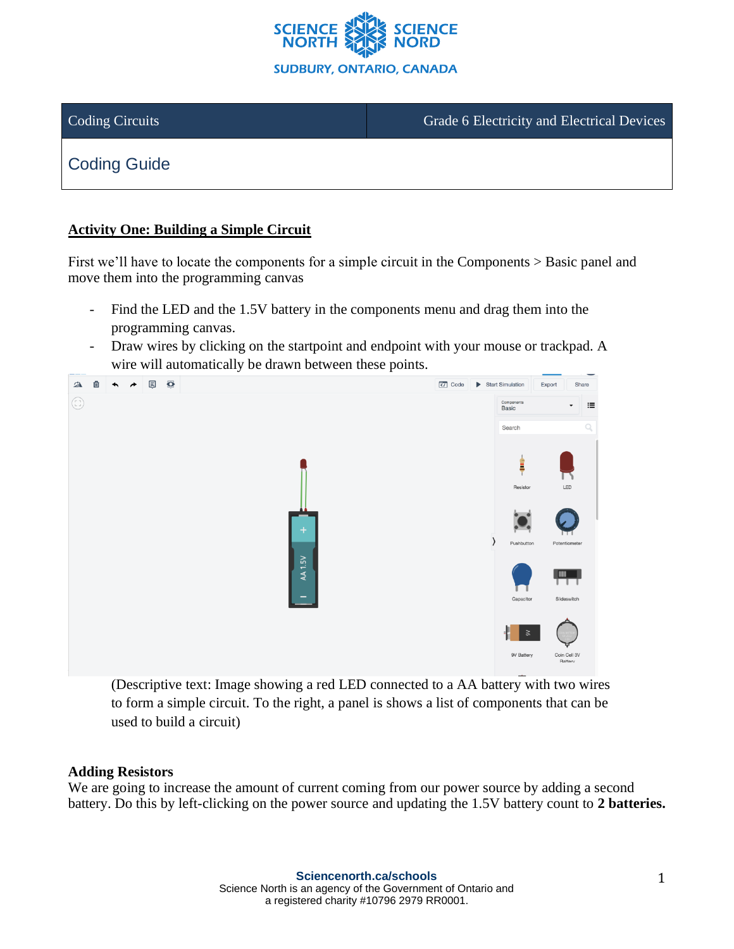

Coding Circuits **Grade 6 Electricity and Electrical Devices** Grade 6 Electricity and Electrical Devices

# Coding Guide

# **Activity One: Building a Simple Circuit**

First we'll have to locate the components for a simple circuit in the Components > Basic panel and move them into the programming canvas

- Find the LED and the 1.5V battery in the components menu and drag them into the programming canvas.
- Draw wires by clicking on the startpoint and endpoint with your mouse or trackpad. A wire will automatically be drawn between these points.



(Descriptive text: Image showing a red LED connected to a AA battery with two wires to form a simple circuit. To the right, a panel is shows a list of components that can be used to build a circuit)

### **Adding Resistors**

We are going to increase the amount of current coming from our power source by adding a second battery. Do this by left-clicking on the power source and updating the 1.5V battery count to **2 batteries.**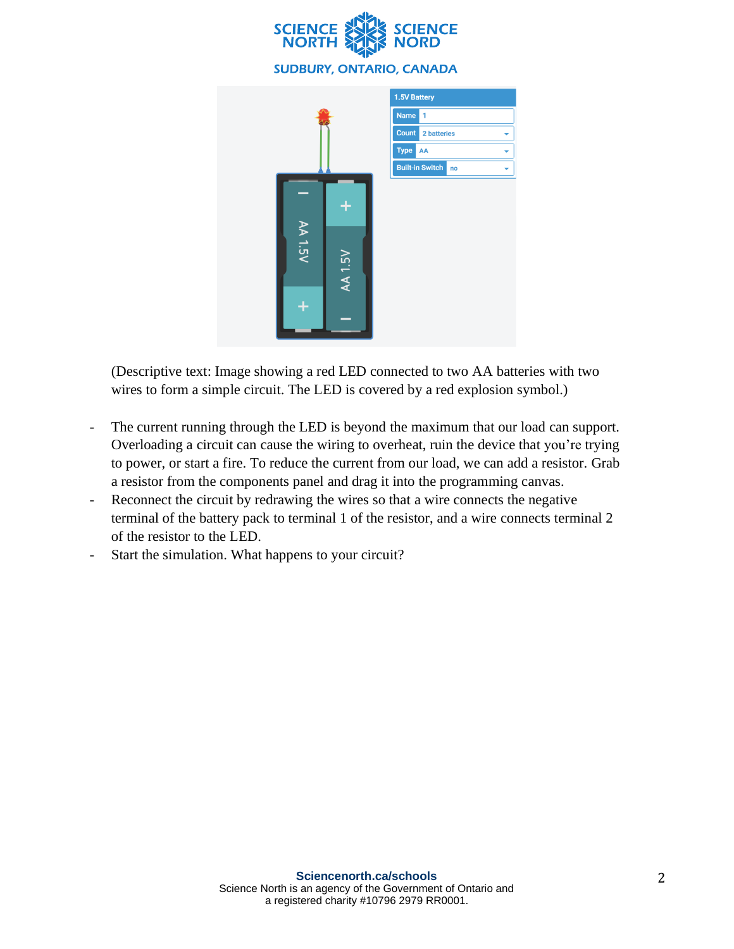



(Descriptive text: Image showing a red LED connected to two AA batteries with two wires to form a simple circuit. The LED is covered by a red explosion symbol.)

- The current running through the LED is beyond the maximum that our load can support. Overloading a circuit can cause the wiring to overheat, ruin the device that you're trying to power, or start a fire. To reduce the current from our load, we can add a resistor. Grab a resistor from the components panel and drag it into the programming canvas.
- Reconnect the circuit by redrawing the wires so that a wire connects the negative terminal of the battery pack to terminal 1 of the resistor, and a wire connects terminal 2 of the resistor to the LED.
- Start the simulation. What happens to your circuit?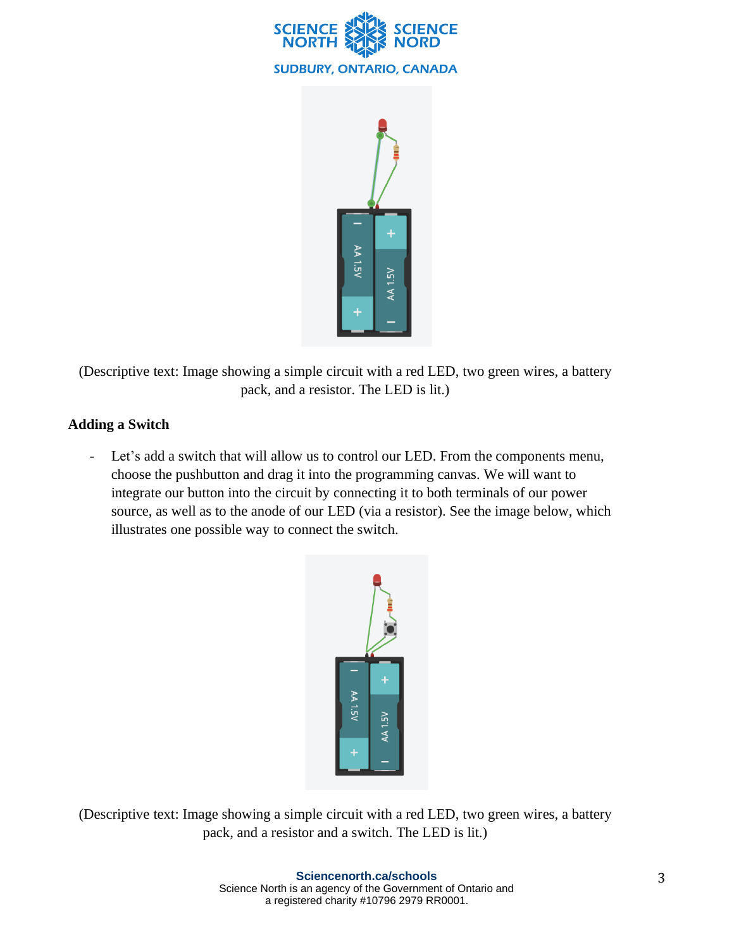



(Descriptive text: Image showing a simple circuit with a red LED, two green wires, a battery pack, and a resistor. The LED is lit.)

# **Adding a Switch**

- Let's add a switch that will allow us to control our LED. From the components menu, choose the pushbutton and drag it into the programming canvas. We will want to integrate our button into the circuit by connecting it to both terminals of our power source, as well as to the anode of our LED (via a resistor). See the image below, which illustrates one possible way to connect the switch.



(Descriptive text: Image showing a simple circuit with a red LED, two green wires, a battery pack, and a resistor and a switch. The LED is lit.)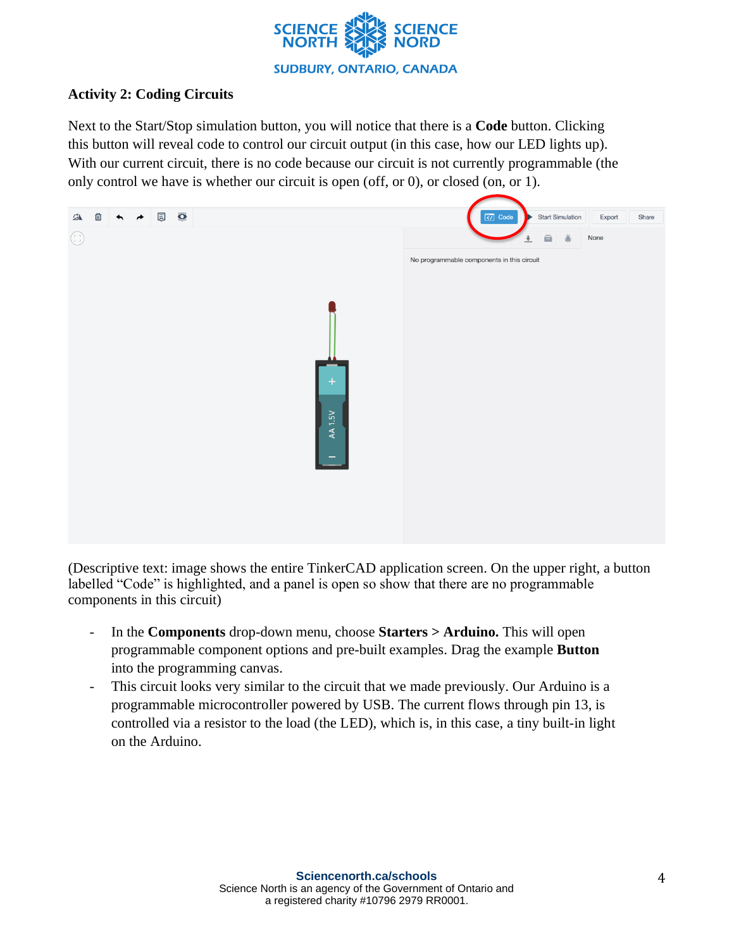

# **Activity 2: Coding Circuits**

Next to the Start/Stop simulation button, you will notice that there is a **Code** button. Clicking this button will reveal code to control our circuit output (in this case, how our LED lights up). With our current circuit, there is no code because our circuit is not currently programmable (the only control we have is whether our circuit is open (off, or 0), or closed (on, or 1).



(Descriptive text: image shows the entire TinkerCAD application screen. On the upper right, a button labelled "Code" is highlighted, and a panel is open so show that there are no programmable components in this circuit)

- In the **Components** drop-down menu, choose **Starters > Arduino.** This will open programmable component options and pre-built examples. Drag the example **Button** into the programming canvas.
- This circuit looks very similar to the circuit that we made previously. Our Arduino is a programmable microcontroller powered by USB. The current flows through pin 13, is controlled via a resistor to the load (the LED), which is, in this case, a tiny built-in light on the Arduino.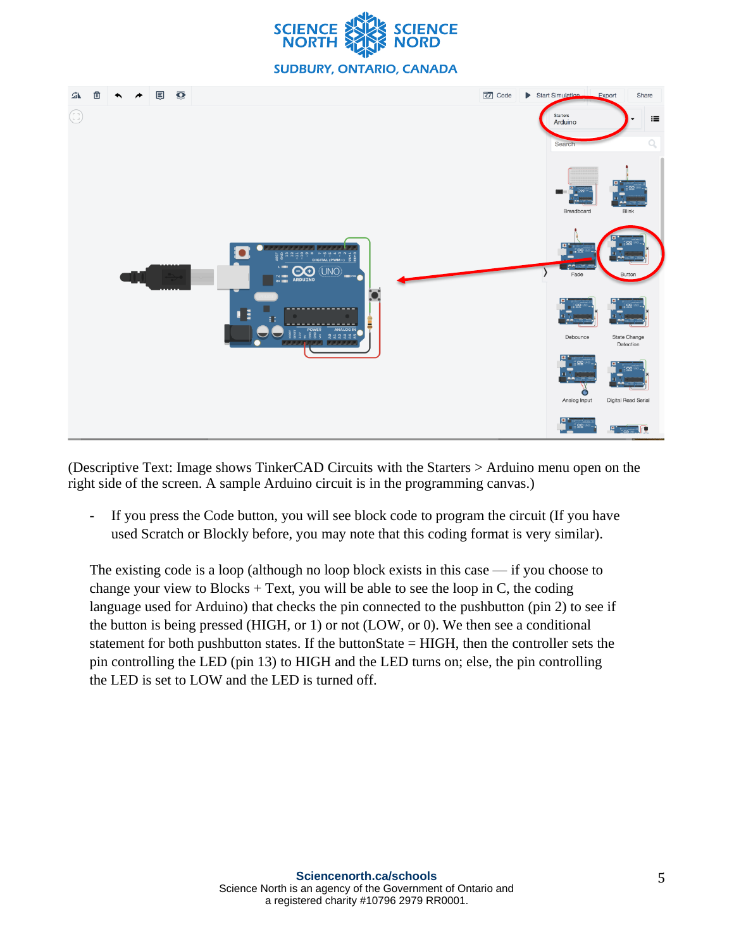



(Descriptive Text: Image shows TinkerCAD Circuits with the Starters > Arduino menu open on the right side of the screen. A sample Arduino circuit is in the programming canvas.)

If you press the Code button, you will see block code to program the circuit (If you have used Scratch or Blockly before, you may note that this coding format is very similar).

The existing code is a loop (although no loop block exists in this case — if you choose to change your view to Blocks  $+$  Text, you will be able to see the loop in C, the coding language used for Arduino) that checks the pin connected to the pushbutton (pin 2) to see if the button is being pressed (HIGH, or 1) or not (LOW, or 0). We then see a conditional statement for both pushbutton states. If the buttonState = HIGH, then the controller sets the pin controlling the LED (pin 13) to HIGH and the LED turns on; else, the pin controlling the LED is set to LOW and the LED is turned off.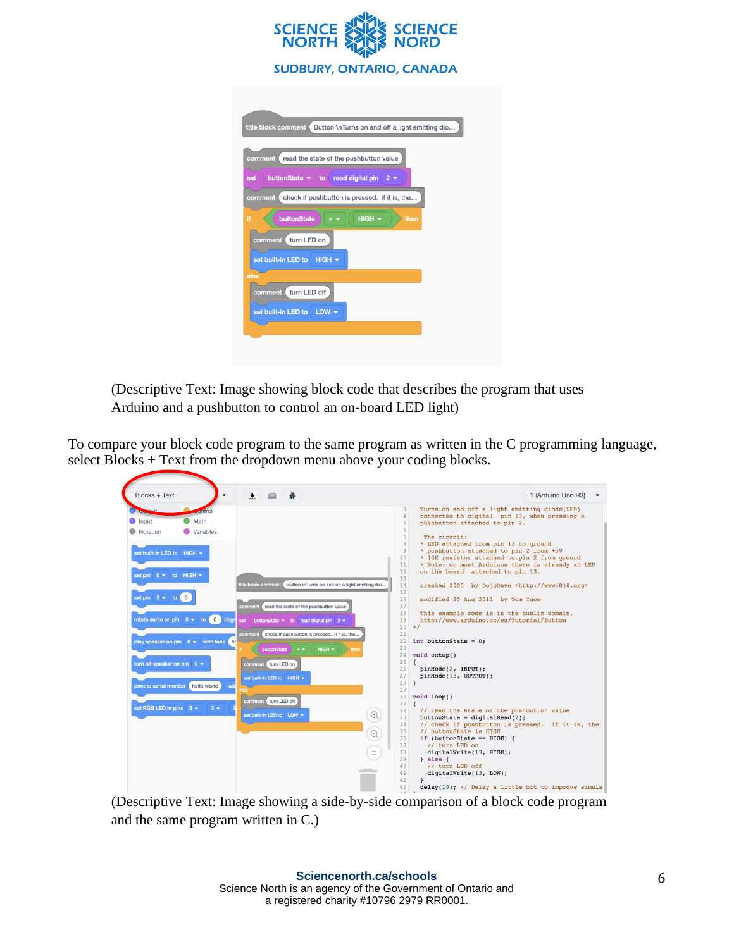

(Descriptive Text: Image showing block code that describes the program that uses Arduino and a pushbutton to control an on-board LED light)

To compare your block code program to the same program as written in the C programming language, select Blocks + Text from the dropdown menu above your coding blocks.

| $\perp$ $\triangle$<br>養<br>Blocks + Text                                                                                                                                                                                                                                                                                                             |                                                                                                                                                                                                                                                                                                                                                                                                     |                                                                                                                                                                                                                                                                                       |                                                                                                                                                                                                                                                                                                                                                                                                                                                                                                                                                                                                                                                                                                                                                                                                                                                                                                                                                                                                                                                                                                                                                                         | 1 (Arduino Uno R3) |
|-------------------------------------------------------------------------------------------------------------------------------------------------------------------------------------------------------------------------------------------------------------------------------------------------------------------------------------------------------|-----------------------------------------------------------------------------------------------------------------------------------------------------------------------------------------------------------------------------------------------------------------------------------------------------------------------------------------------------------------------------------------------------|---------------------------------------------------------------------------------------------------------------------------------------------------------------------------------------------------------------------------------------------------------------------------------------|-------------------------------------------------------------------------------------------------------------------------------------------------------------------------------------------------------------------------------------------------------------------------------------------------------------------------------------------------------------------------------------------------------------------------------------------------------------------------------------------------------------------------------------------------------------------------------------------------------------------------------------------------------------------------------------------------------------------------------------------------------------------------------------------------------------------------------------------------------------------------------------------------------------------------------------------------------------------------------------------------------------------------------------------------------------------------------------------------------------------------------------------------------------------------|--------------------|
| Math<br>Input<br>Variables<br>Notation<br>set built-in LED to HIGH +<br>set pin 0 v to HIGH v<br>set pin $3 \times 10^{10}$<br>rotate servo on pin $0 \neq 10$ of $0$ degr<br>play speaker on pin $0 \bullet$ with tone (60)<br>turn off speaker on pin $0 \bullet$<br>print to serial monitor hello world<br>wit<br>set RGB LED in pins 3 =<br>$3 -$ | Button \nTurns on and off a light emitting dio<br>itle block comment<br>comment read the state of the pushbutton value<br>set buttonState = to read digital pin 2 =<br>comment check if pushbutton is pressed. if it is, the<br>$HIGH$ $\sim$<br>buttonState<br>$\blacksquare$<br>then<br>comment turn LED on<br>set built-in LED to HIGH .<br>turn LED off<br>comment<br>set built-in LED to LOW + | 3<br>4<br>5<br>6<br>$\overline{7}$<br>8<br>Q<br>10<br>11<br>12<br>13<br>14<br>15<br>16<br>17<br>18<br>19<br>20<br>21<br>22<br>23<br>24<br>25<br>26<br>27<br>28<br>29<br>30<br>31<br>32<br>$\odot$<br>33<br>34<br>35<br>$\Theta$<br>36<br>37<br>$\equiv$<br>38<br>39<br>40<br>41<br>42 | Turns on and off a light emitting diode(LED)<br>connected to digital pin 13, when pressing a<br>pushbutton attached to pin 2.<br>The circuit:<br>* LED attached from pin 13 to ground<br>* pushbutton attached to pin 2 from +5V<br>* 10K resistor attached to pin 2 from ground<br>* Note: on most Arduinos there is already an LED<br>on the board attached to pin 13.<br>created 2005 by DojoDave <http: www.0j0.org=""><br/>modified 30 Aug 2011 by Tom Igoe<br/>This example code is in the public domain.<br/>http://www.arduino.cc/en/Tutorial/Button<br/><math>*1</math><br/>int buttonState = <math>0</math>;<br/>void setup()<br/><math>\epsilon</math><br/>pinMode(2, INPUT);<br/>pinMode(13, OUTPUT);<br/><math>\mathcal{F}</math><br/>void loop()<br/><math>\left\{ \right.</math><br/>// read the state of the pushbutton value<br/><math>but</math>tonState = digitalRead(2);<br/>// check if pushbutton is pressed. if it is, the<br/>// buttonState is HIGH<br/>if (buttonState == <math>HIGH</math>) {<br/>// turn LED on<br/>digitalWrite(13, HIGH);<br/><math>\}</math> else <math>\{</math><br/>// turn LED off<br/>digitalWrite(13, LOW);</http:> |                    |

(Descriptive Text: Image showing a side-by-side comparison of a block code program and the same program written in C.)